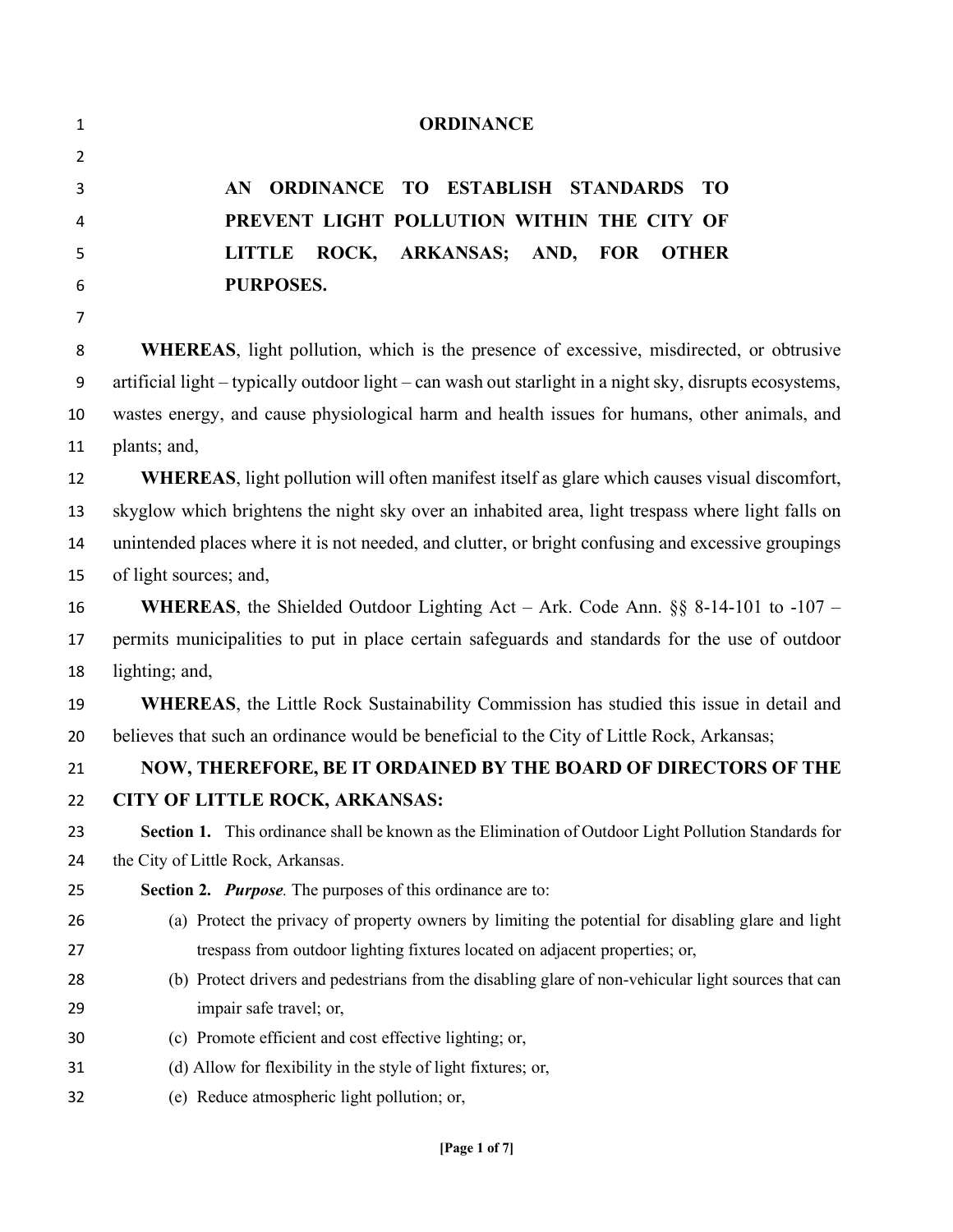| 1              | <b>ORDINANCE</b>                                                                                         |
|----------------|----------------------------------------------------------------------------------------------------------|
| $\overline{2}$ |                                                                                                          |
| 3              | ORDINANCE TO ESTABLISH STANDARDS TO<br>AN                                                                |
| 4              | PREVENT LIGHT POLLUTION WITHIN THE CITY OF                                                               |
| 5              | ROCK, ARKANSAS; AND, FOR<br><b>LITTLE</b><br><b>OTHER</b>                                                |
| 6              | PURPOSES.                                                                                                |
| $\overline{7}$ |                                                                                                          |
| 8              | <b>WHEREAS</b> , light pollution, which is the presence of excessive, misdirected, or obtrusive          |
| 9              | artificial light – typically outdoor light – can wash out starlight in a night sky, disrupts ecosystems, |
| 10             | wastes energy, and cause physiological harm and health issues for humans, other animals, and             |
| 11             | plants; and,                                                                                             |
| 12             | <b>WHEREAS</b> , light pollution will often manifest itself as glare which causes visual discomfort,     |
| 13             | skyglow which brightens the night sky over an inhabited area, light trespass where light falls on        |
| 14             | unintended places where it is not needed, and clutter, or bright confusing and excessive groupings       |
| 15             | of light sources; and,                                                                                   |
| 16             | <b>WHEREAS</b> , the Shielded Outdoor Lighting Act – Ark. Code Ann. $\S\S$ 8-14-101 to -107 –            |
| 17             | permits municipalities to put in place certain safeguards and standards for the use of outdoor           |
| 18             | lighting; and,                                                                                           |
| 19             | <b>WHEREAS</b> , the Little Rock Sustainability Commission has studied this issue in detail and          |
| 20             | believes that such an ordinance would be beneficial to the City of Little Rock, Arkansas;                |
| 21             | NOW, THEREFORE, BE IT ORDAINED BY THE BOARD OF DIRECTORS OF THE                                          |
| 22             | <b>CITY OF LITTLE ROCK, ARKANSAS:</b>                                                                    |
| 23             | Section 1. This ordinance shall be known as the Elimination of Outdoor Light Pollution Standards for     |
| 24             | the City of Little Rock, Arkansas.                                                                       |
| 25             | <b>Section 2. Purpose.</b> The purposes of this ordinance are to:                                        |
| 26             | (a) Protect the privacy of property owners by limiting the potential for disabling glare and light       |
| 27             | trespass from outdoor lighting fixtures located on adjacent properties; or,                              |
| 28             | (b) Protect drivers and pedestrians from the disabling glare of non-vehicular light sources that can     |
| 29             | impair safe travel; or,                                                                                  |
| 30             | (c) Promote efficient and cost effective lighting; or,                                                   |
| 31             | (d) Allow for flexibility in the style of light fixtures; or,                                            |
| 32             | (e) Reduce atmospheric light pollution; or,                                                              |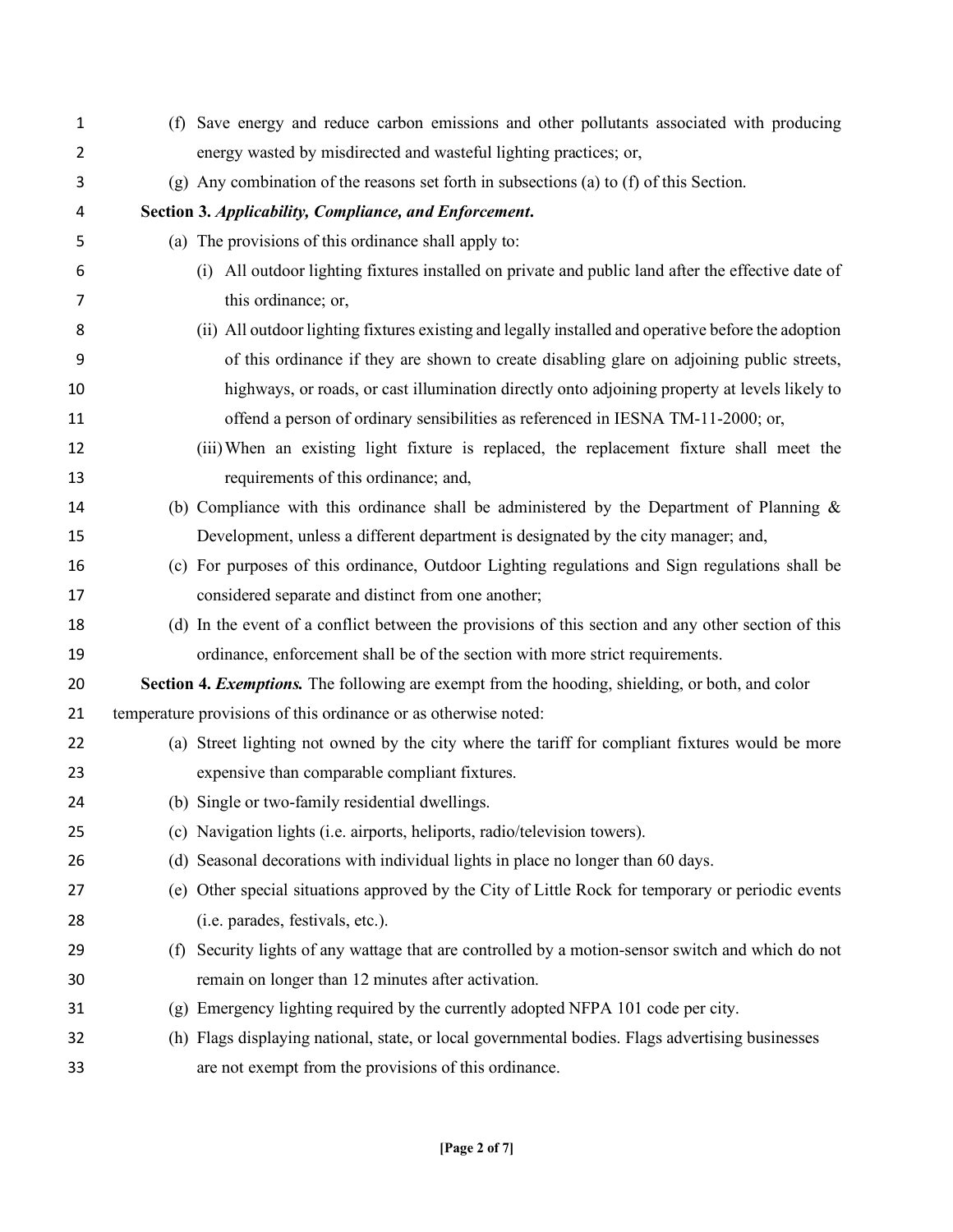| 1              |     | (f) Save energy and reduce carbon emissions and other pollutants associated with producing          |
|----------------|-----|-----------------------------------------------------------------------------------------------------|
| $\overline{2}$ |     | energy wasted by misdirected and wasteful lighting practices; or,                                   |
| 3              |     | (g) Any combination of the reasons set forth in subsections (a) to (f) of this Section.             |
| 4              |     | Section 3. Applicability, Compliance, and Enforcement.                                              |
| 5              |     | (a) The provisions of this ordinance shall apply to:                                                |
| 6              |     | (i) All outdoor lighting fixtures installed on private and public land after the effective date of  |
| 7              |     | this ordinance; or,                                                                                 |
| 8              |     | (ii) All outdoor lighting fixtures existing and legally installed and operative before the adoption |
| 9              |     | of this ordinance if they are shown to create disabling glare on adjoining public streets,          |
| 10             |     | highways, or roads, or cast illumination directly onto adjoining property at levels likely to       |
| 11             |     | offend a person of ordinary sensibilities as referenced in IESNA TM-11-2000; or,                    |
| 12             |     | (iii) When an existing light fixture is replaced, the replacement fixture shall meet the            |
| 13             |     | requirements of this ordinance; and,                                                                |
| 14             |     | (b) Compliance with this ordinance shall be administered by the Department of Planning $\&$         |
| 15             |     | Development, unless a different department is designated by the city manager; and,                  |
| 16             |     | (c) For purposes of this ordinance, Outdoor Lighting regulations and Sign regulations shall be      |
| 17             |     | considered separate and distinct from one another;                                                  |
| 18             |     | (d) In the event of a conflict between the provisions of this section and any other section of this |
| 19             |     | ordinance, enforcement shall be of the section with more strict requirements.                       |
| 20             |     | Section 4. Exemptions. The following are exempt from the hooding, shielding, or both, and color     |
| 21             |     | temperature provisions of this ordinance or as otherwise noted:                                     |
| 22             |     | (a) Street lighting not owned by the city where the tariff for compliant fixtures would be more     |
| 23             |     | expensive than comparable compliant fixtures.                                                       |
| 24             |     | (b) Single or two-family residential dwellings.                                                     |
| 25             |     | (c) Navigation lights (i.e. airports, heliports, radio/television towers).                          |
| 26             |     | (d) Seasonal decorations with individual lights in place no longer than 60 days.                    |
| 27             |     | (e) Other special situations approved by the City of Little Rock for temporary or periodic events   |
| 28             |     | (i.e. parades, festivals, etc.).                                                                    |
| 29             | (f) | Security lights of any wattage that are controlled by a motion-sensor switch and which do not       |
| 30             |     | remain on longer than 12 minutes after activation.                                                  |
| 31             |     | (g) Emergency lighting required by the currently adopted NFPA 101 code per city.                    |
| 32             |     | (h) Flags displaying national, state, or local governmental bodies. Flags advertising businesses    |
| 33             |     | are not exempt from the provisions of this ordinance.                                               |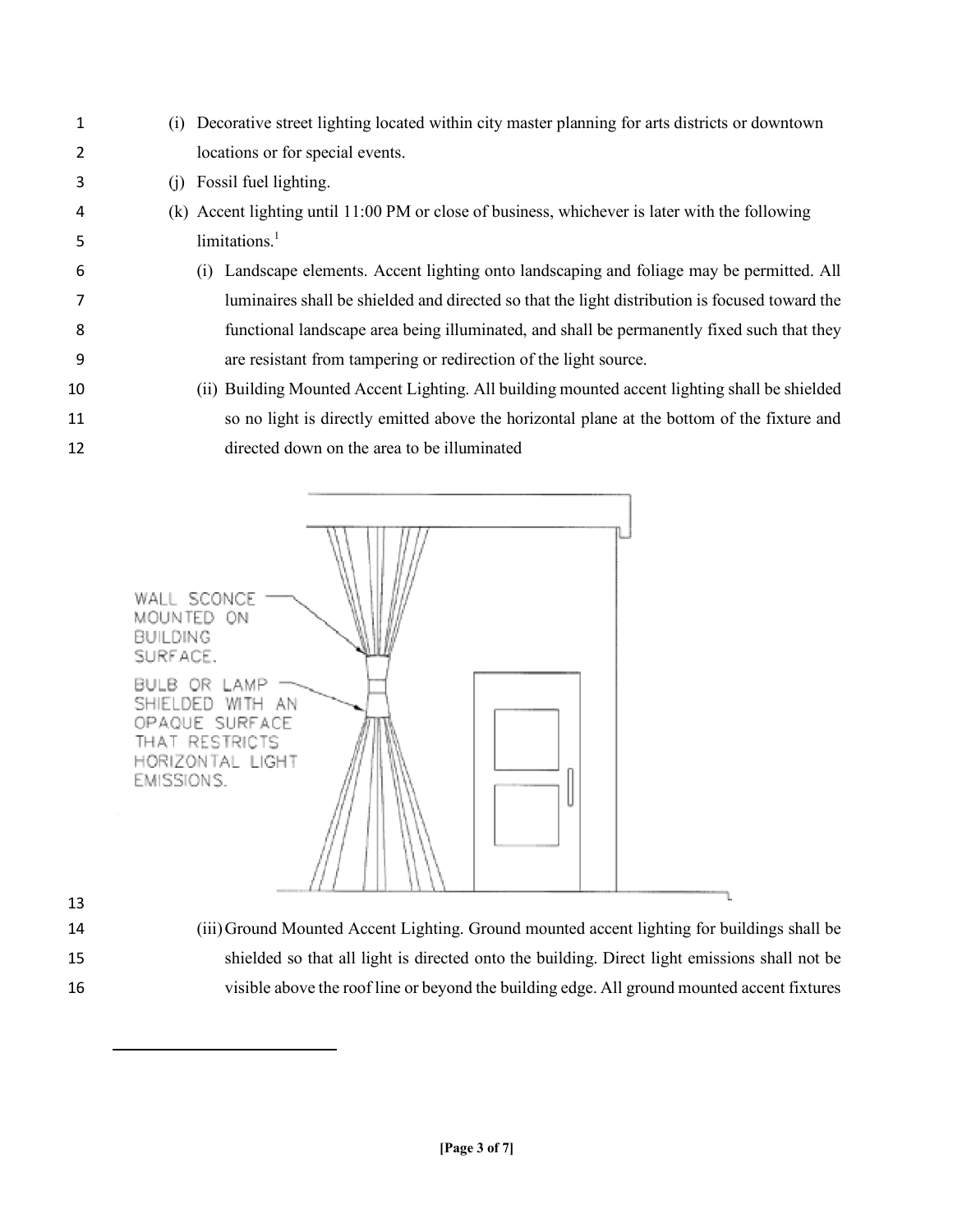(i) Decorative street lighting located within city master planning for arts districts or downtown locations or for special events. (j) Fossil fuel lighting. (k) Accent lighting until 11:00 PM or close of business, whichever is later with the following 5 limitations.<sup>1</sup> (i) Landscape elements. Accent lighting onto landscaping and foliage may be permitted. All luminaires shall be shielded and directed so that the light distribution is focused toward the functional landscape area being illuminated, and shall be permanently fixed such that they are resistant from tampering or redirection of the light source. (ii) Building Mounted Accent Lighting. All building mounted accent lighting shall be shielded so no light is directly emitted above the horizontal plane at the bottom of the fixture and directed down on the area to be illuminated



 $\overline{\phantom{a}}$ 

 (iii)Ground Mounted Accent Lighting. Ground mounted accent lighting for buildings shall be shielded so that all light is directed onto the building. Direct light emissions shall not be visible above the roof line or beyond the building edge. All ground mounted accent fixtures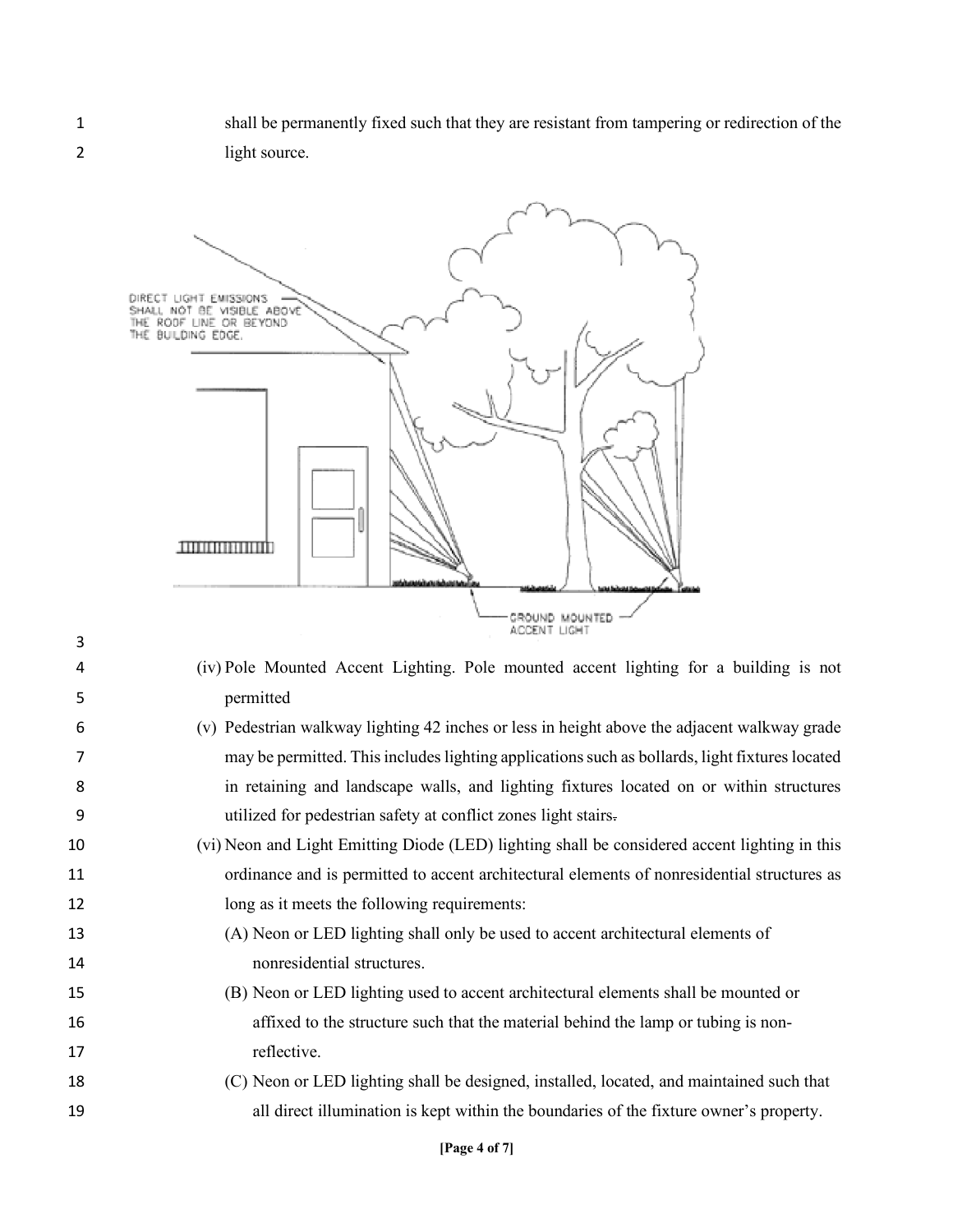shall be permanently fixed such that they are resistant from tampering or redirection of the light source.



- (iv) Pole Mounted Accent Lighting. Pole mounted accent lighting for a building is not permitted
- (v) Pedestrian walkway lighting 42 inches or less in height above the adjacent walkway grade may be permitted. This includes lighting applications such as bollards, light fixtures located in retaining and landscape walls, and lighting fixtures located on or within structures utilized for pedestrian safety at conflict zones light stairs.
- (vi) Neon and Light Emitting Diode (LED) lighting shall be considered accent lighting in this ordinance and is permitted to accent architectural elements of nonresidential structures as 12 long as it meets the following requirements:
- (A) Neon or LED lighting shall only be used to accent architectural elements of nonresidential structures.
- (B) Neon or LED lighting used to accent architectural elements shall be mounted or affixed to the structure such that the material behind the lamp or tubing is non-17 reflective.
- (C) Neon or LED lighting shall be designed, installed, located, and maintained such that all direct illumination is kept within the boundaries of the fixture owner's property.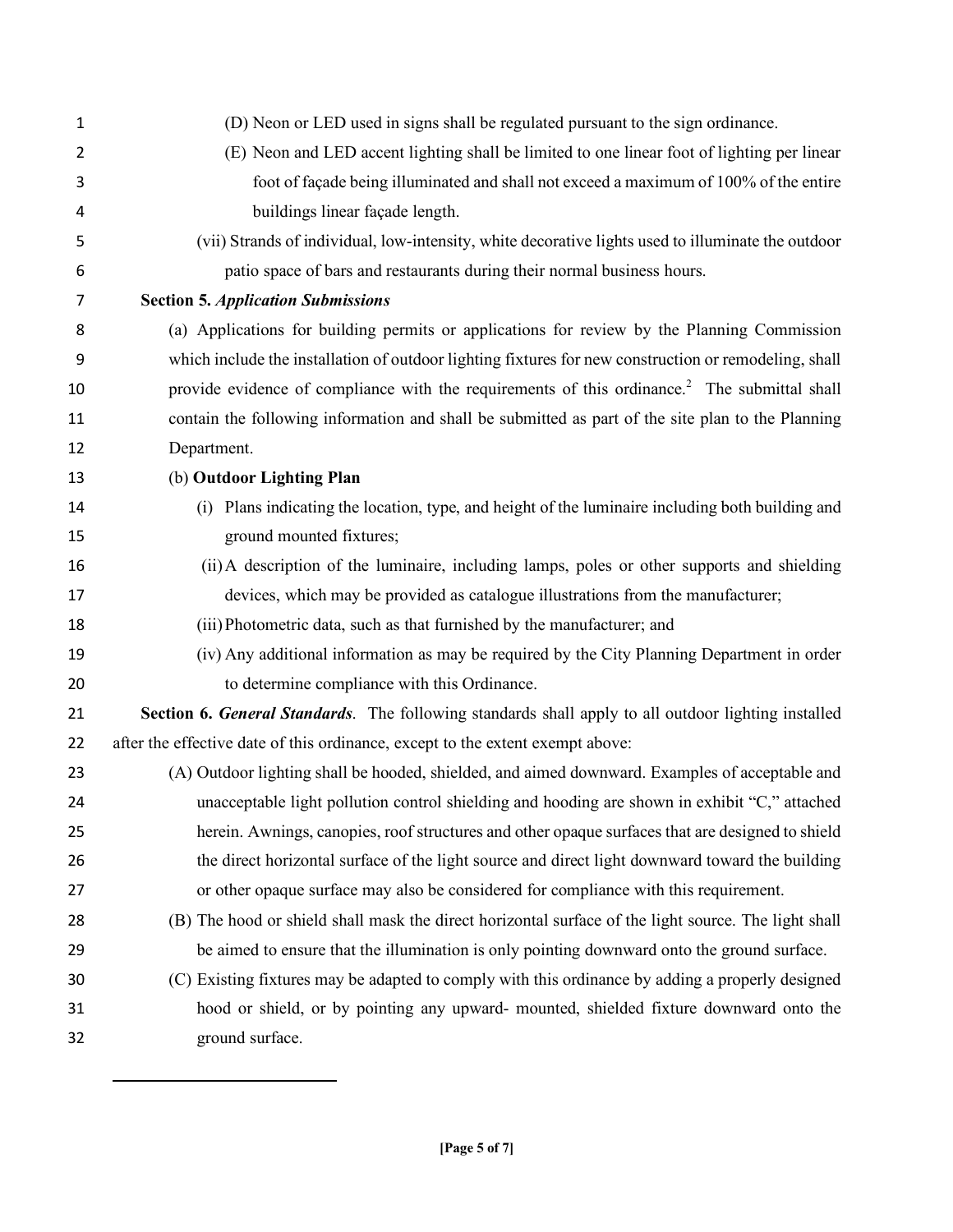| $\mathbf{1}$   | (D) Neon or LED used in signs shall be regulated pursuant to the sign ordinance.                         |
|----------------|----------------------------------------------------------------------------------------------------------|
| $\overline{2}$ | (E) Neon and LED accent lighting shall be limited to one linear foot of lighting per linear              |
| 3              | foot of façade being illuminated and shall not exceed a maximum of 100% of the entire                    |
| 4              | buildings linear façade length.                                                                          |
| 5              | (vii) Strands of individual, low-intensity, white decorative lights used to illuminate the outdoor       |
| 6              | patio space of bars and restaurants during their normal business hours.                                  |
| 7              | <b>Section 5. Application Submissions</b>                                                                |
| 8              | (a) Applications for building permits or applications for review by the Planning Commission              |
| 9              | which include the installation of outdoor lighting fixtures for new construction or remodeling, shall    |
| 10             | provide evidence of compliance with the requirements of this ordinance. <sup>2</sup> The submittal shall |
| 11             | contain the following information and shall be submitted as part of the site plan to the Planning        |
| 12             | Department.                                                                                              |
| 13             | (b) Outdoor Lighting Plan                                                                                |
| 14             | (i) Plans indicating the location, type, and height of the luminaire including both building and         |
| 15             | ground mounted fixtures;                                                                                 |
| 16             | (ii) A description of the luminaire, including lamps, poles or other supports and shielding              |
| 17             | devices, which may be provided as catalogue illustrations from the manufacturer;                         |
| 18             | (iii) Photometric data, such as that furnished by the manufacturer; and                                  |
| 19             | (iv) Any additional information as may be required by the City Planning Department in order              |
| 20             | to determine compliance with this Ordinance.                                                             |
| 21             | Section 6. General Standards. The following standards shall apply to all outdoor lighting installed      |
| 22             | after the effective date of this ordinance, except to the extent exempt above:                           |
| 23             | (A) Outdoor lighting shall be hooded, shielded, and aimed downward. Examples of acceptable and           |
| 24             | unacceptable light pollution control shielding and hooding are shown in exhibit "C," attached            |
| 25             | herein. Awnings, canopies, roof structures and other opaque surfaces that are designed to shield         |
| 26             | the direct horizontal surface of the light source and direct light downward toward the building          |
| 27             | or other opaque surface may also be considered for compliance with this requirement.                     |
| 28             | (B) The hood or shield shall mask the direct horizontal surface of the light source. The light shall     |
| 29             | be aimed to ensure that the illumination is only pointing downward onto the ground surface.              |
| 30             | (C) Existing fixtures may be adapted to comply with this ordinance by adding a properly designed         |
| 31             | hood or shield, or by pointing any upward- mounted, shielded fixture downward onto the                   |
| 32             | ground surface.                                                                                          |

l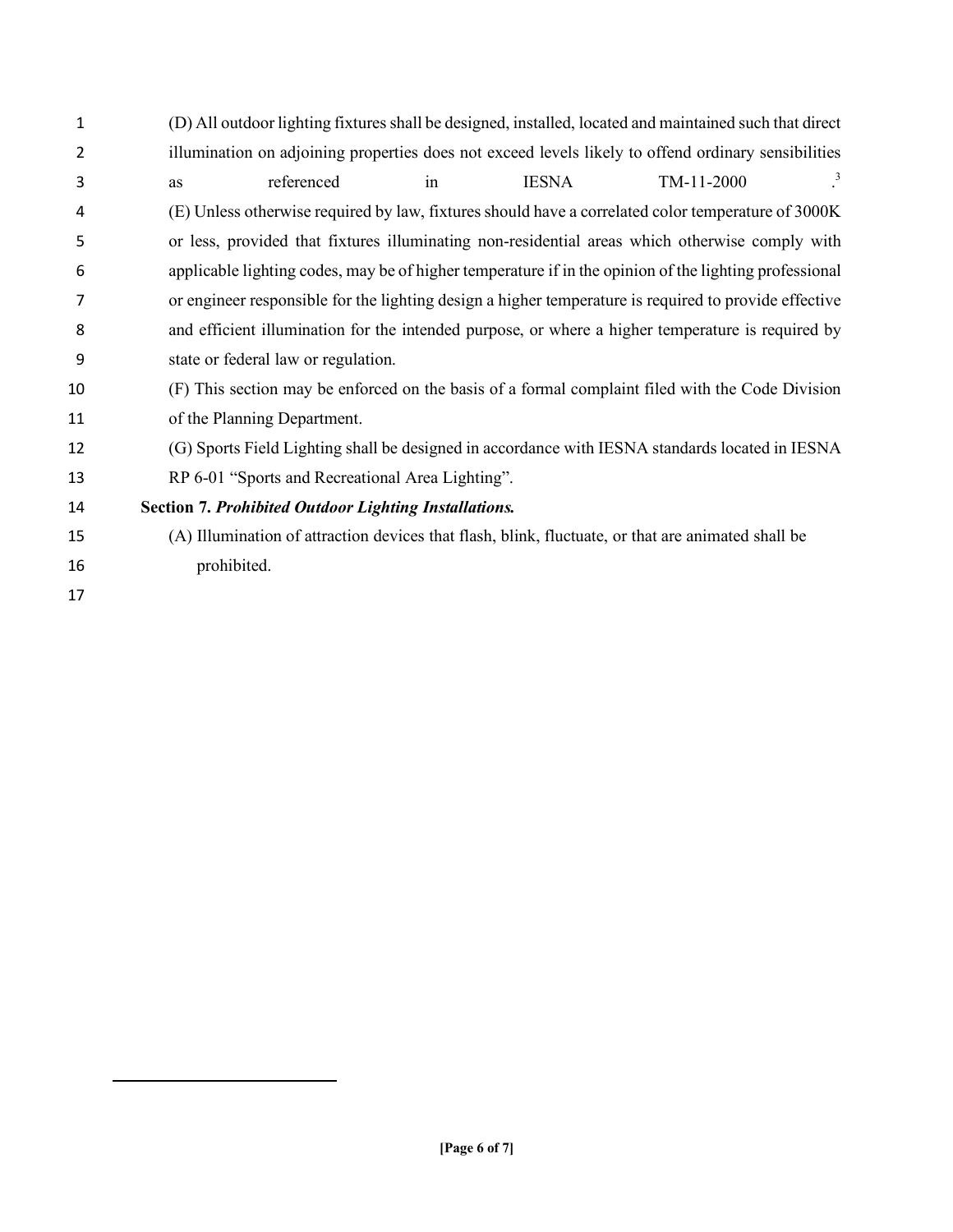- (D) All outdoor lighting fixtures shall be designed, installed, located and maintained such that direct illumination on adjoining properties does not exceed levels likely to offend ordinary sensibilities as referenced in IESNA TM-11-2000 <sup>3</sup> (E) Unless otherwise required by law, fixtures should have a correlated color temperature of 3000K or less, provided that fixtures illuminating non-residential areas which otherwise comply with applicable lighting codes, may be of higher temperature if in the opinion of the lighting professional or engineer responsible for the lighting design a higher temperature is required to provide effective and efficient illumination for the intended purpose, or where a higher temperature is required by state or federal law or regulation. (F) This section may be enforced on the basis of a formal complaint filed with the Code Division of the Planning Department. (G) Sports Field Lighting shall be designed in accordance with IESNA standards located in IESNA RP 6-01 "Sports and Recreational Area Lighting". **Section 7.** *Prohibited Outdoor Lighting Installations.* (A) Illumination of attraction devices that flash, blink, fluctuate, or that are animated shall be prohibited.
- 

l